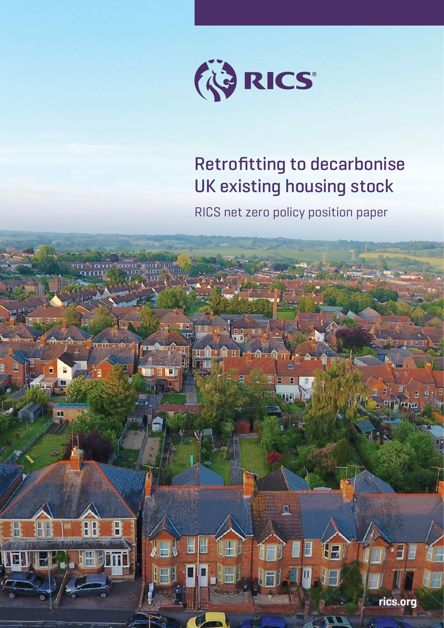

# Retrofitting to decarbonise UK existing housing stock

RICS net zero policy position paper

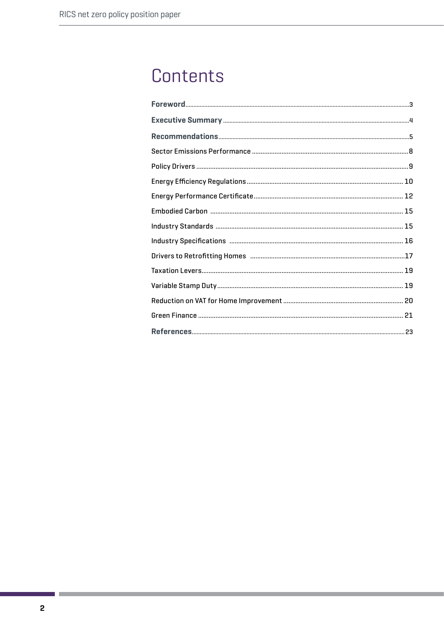# Contents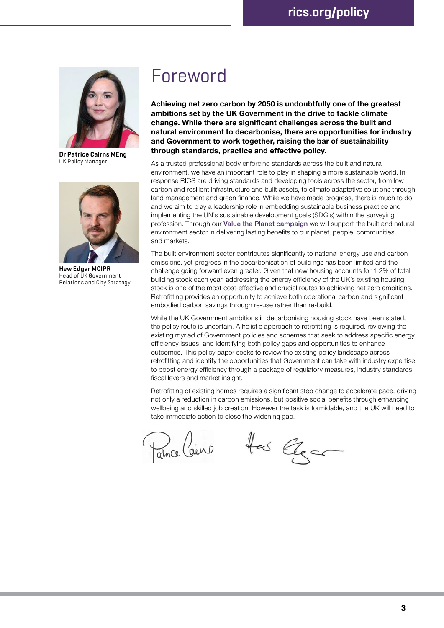

**Dr Patrice Cairns MEng**  UK Policy Manager



**Hew Edgar MCIPR**  Head of UK Government Relations and City Strategy

# Foreword

**Achieving net zero carbon by 2050 is undoubtfully one of the greatest ambitions set by the UK Government in the drive to tackle climate change. While there are significant challenges across the built and natural environment to decarbonise, there are opportunities for industry and Government to work together, raising the bar of sustainability through standards, practice and effective policy.** 

As a trusted professional body enforcing standards across the built and natural environment, we have an important role to play in shaping a more sustainable world. In response RICS are driving standards and developing tools across the sector, from low carbon and resilient infrastructure and built assets, to climate adaptative solutions through land management and green finance. While we have made progress, there is much to do, and we aim to play a leadership role in embedding sustainable business practice and implementing the UN's sustainable development goals (SDG's) within the surveying profession. Through our [Value the Planet campaign](https://www.rics.org/uk/news-insight/latest-news/value-the-planet/) we will support the built and natural environment sector in delivering lasting benefits to our planet, people, communities and markets.

The built environment sector contributes significantly to national energy use and carbon emissions, yet progress in the decarbonisation of buildings has been limited and the challenge going forward even greater. Given that new housing accounts for 1-2% of total building stock each year, addressing the energy efficiency of the UK's existing housing stock is one of the most cost-effective and crucial routes to achieving net zero ambitions. Retrofitting provides an opportunity to achieve both operational carbon and significant embodied carbon savings through re-use rather than re-build.

While the UK Government ambitions in decarbonising housing stock have been stated, the policy route is uncertain. A holistic approach to retrofitting is required, reviewing the existing myriad of Government policies and schemes that seek to address specific energy efficiency issues, and identifying both policy gaps and opportunities to enhance outcomes. This policy paper seeks to review the existing policy landscape across retrofitting and identify the opportunities that Government can take with industry expertise to boost energy efficiency through a package of regulatory measures, industry standards, fiscal levers and market insight.

Retrofitting of existing homes requires a significant step change to accelerate pace, driving not only a reduction in carbon emissions, but positive social benefits through enhancing wellbeing and skilled job creation. However the task is formidable, and the UK will need to take immediate action to close the widening gap.

Patrice Caino

Has Elgan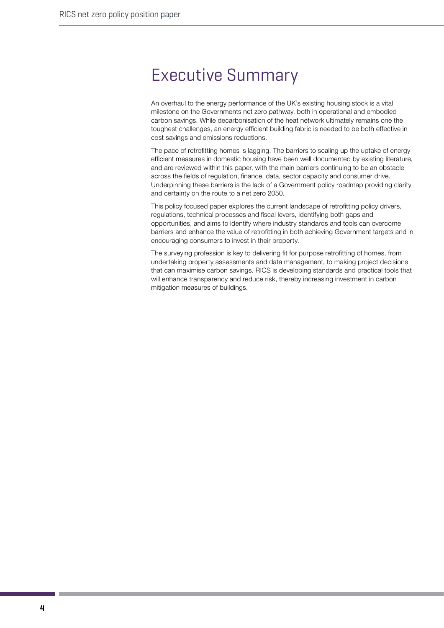# Executive Summary

An overhaul to the energy performance of the UK's existing housing stock is a vital milestone on the Governments net zero pathway, both in operational and embodied carbon savings. While decarbonisation of the heat network ultimately remains one the toughest challenges, an energy efficient building fabric is needed to be both effective in cost savings and emissions reductions.

The pace of retrofitting homes is lagging. The barriers to scaling up the uptake of energy efficient measures in domestic housing have been well documented by existing literature, and are reviewed within this paper, with the main barriers continuing to be an obstacle across the fields of regulation, finance, data, sector capacity and consumer drive. Underpinning these barriers is the lack of a Government policy roadmap providing clarity and certainty on the route to a net zero 2050.

This policy focused paper explores the current landscape of retrofitting policy drivers, regulations, technical processes and fiscal levers, identifying both gaps and opportunities, and aims to identify where industry standards and tools can overcome barriers and enhance the value of retrofitting in both achieving Government targets and in encouraging consumers to invest in their property.

The surveying profession is key to delivering fit for purpose retrofitting of homes, from undertaking property assessments and data management, to making project decisions that can maximise carbon savings. RICS is developing standards and practical tools that will enhance transparency and reduce risk, thereby increasing investment in carbon mitigation measures of buildings.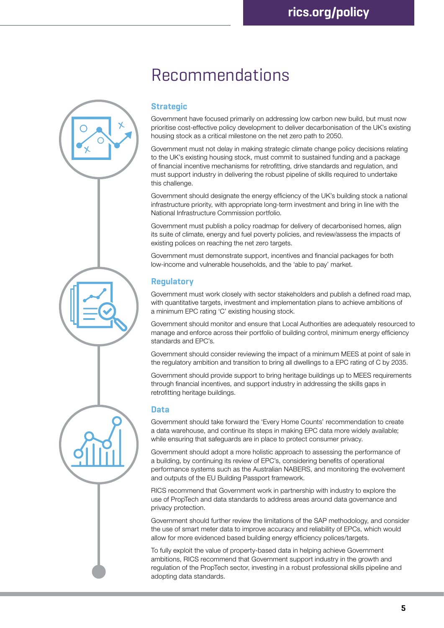# Recommendations

## **Strategic**

Government have focused primarily on addressing low carbon new build, but must now prioritise cost-effective policy development to deliver decarbonisation of the UK's existing housing stock as a critical milestone on the net zero path to 2050.

Government must not delay in making strategic climate change policy decisions relating to the UK's existing housing stock, must commit to sustained funding and a package of financial incentive mechanisms for retrofitting, drive standards and regulation, and must support industry in delivering the robust pipeline of skills required to undertake this challenge.

Government should designate the energy efficiency of the UK's building stock a national infrastructure priority, with appropriate long-term investment and bring in line with the National Infrastructure Commission portfolio.

Government must publish a policy roadmap for delivery of decarbonised homes, align its suite of climate, energy and fuel poverty policies, and review/assess the impacts of existing polices on reaching the net zero targets.

Government must demonstrate support, incentives and financial packages for both low-income and vulnerable households, and the 'able to pay' market.

## **Regulatory**

Government must work closely with sector stakeholders and publish a defined road map, with quantitative targets, investment and implementation plans to achieve ambitions of a minimum EPC rating 'C' existing housing stock.

Government should monitor and ensure that Local Authorities are adequately resourced to manage and enforce across their portfolio of building control, minimum energy efficiency standards and EPC's.

Government should consider reviewing the impact of a minimum MEES at point of sale in the regulatory ambition and transition to bring all dwellings to a EPC rating of C by 2035.

Government should provide support to bring heritage buildings up to MEES requirements through financial incentives, and support industry in addressing the skills gaps in retrofitting heritage buildings.

### **Data**

Government should take forward the 'Every Home Counts' recommendation to create a data warehouse, and continue its steps in making EPC data more widely available; while ensuring that safeguards are in place to protect consumer privacy.

Government should adopt a more holistic approach to assessing the performance of a building, by continuing its review of EPC's, considering benefits of operational performance systems such as the Australian NABERS, and monitoring the evolvement and outputs of the EU Building Passport framework.

RICS recommend that Government work in partnership with industry to explore the use of PropTech and data standards to address areas around data governance and privacy protection.

Government should further review the limitations of the SAP methodology, and consider the use of smart meter data to improve accuracy and reliability of EPCs, which would allow for more evidenced based building energy efficiency polices/targets.

To fully exploit the value of property-based data in helping achieve Government ambitions, RICS recommend that Government support industry in the growth and regulation of the PropTech sector, investing in a robust professional skills pipeline and adopting data standards.

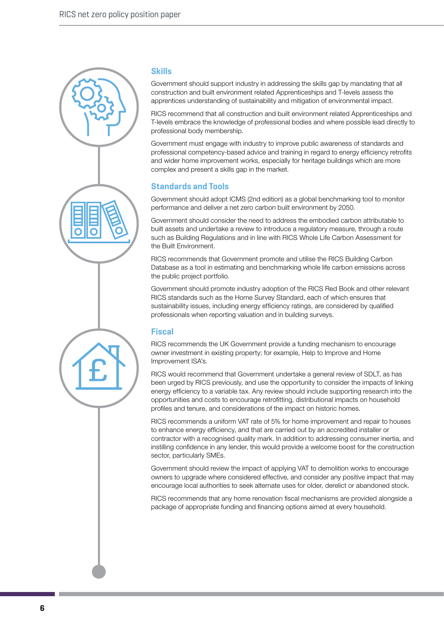

#### **Skills**

Government should support industry in addressing the skills gap by mandating that all construction and built environment related Apprenticeships and T-levels assess the apprentices understanding of sustainability and mitigation of environmental impact.

RICS recommend that all construction and built environment related Apprenticeships and T-levels embrace the knowledge of professional bodies and where possible lead directly to professional body membership.

Government must engage with industry to improve public awareness of standards and professional competency-based advice and training in regard to energy efficiency retrofits and wider home improvement works, especially for heritage buildings which are more complex and present a skills gap in the market.

## **Standards and Tools**

Government should adopt ICMS (2nd edition) as a global benchmarking tool to monitor performance and deliver a net zero carbon built environment by 2050.

Government should consider the need to address the embodied carbon attributable to built assets and undertake a review to introduce a regulatory measure, through a route such as Building Regulations and in line with RICS Whole Life Carbon Assessment for the Built Environment.

RICS recommends that Government promote and utilise the RICS Building Carbon Database as a tool in estimating and benchmarking whole life carbon emissions across the public project portfolio.

Government should promote industry adoption of the RICS Red Book and other relevant RICS standards such as the Home Survey Standard, each of which ensures that sustainability issues, including energy efficiency ratings, are considered by qualified professionals when reporting valuation and in building surveys.

## **Fiscal**

RICS recommends the UK Government provide a funding mechanism to encourage owner investment in existing property; for example, Help to Improve and Home Improvement ISA's.

RICS would recommend that Government undertake a general review of SDLT, as has been urged by RICS previously, and use the opportunity to consider the impacts of linking energy efficiency to a variable tax. Any review should include supporting research into the opportunities and costs to encourage retrofitting, distributional impacts on household profiles and tenure, and considerations of the impact on historic homes.

RICS recommends a uniform VAT rate of 5% for home improvement and repair to houses to enhance energy efficiency, and that are carried out by an accredited installer or contractor with a recognised quality mark. In addition to addressing consumer inertia, and instilling confidence in any lender, this would provide a welcome boost for the construction sector, particularly SMEs.

Government should review the impact of applying VAT to demolition works to encourage owners to upgrade where considered effective, and consider any positive impact that may encourage local authorities to seek alternate uses for older, derelict or abandoned stock.

RICS recommends that any home renovation fiscal mechanisms are provided alongside a package of appropriate funding and financing options aimed at every household.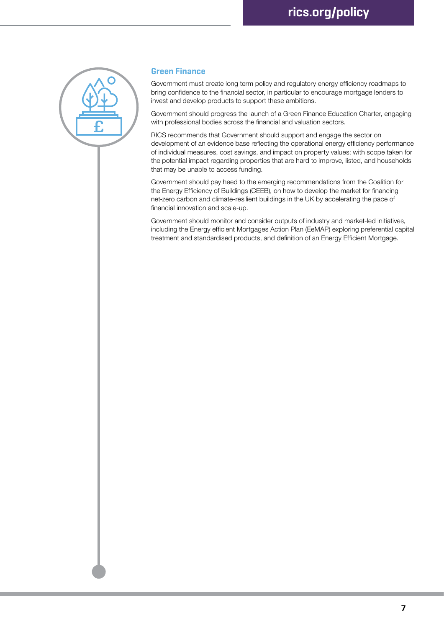

### **Green Finance**

Government must create long term policy and regulatory energy efficiency roadmaps to bring confidence to the financial sector, in particular to encourage mortgage lenders to invest and develop products to support these ambitions.

Government should progress the launch of a Green Finance Education Charter, engaging with professional bodies across the financial and valuation sectors.

RICS recommends that Government should support and engage the sector on development of an evidence base reflecting the operational energy efficiency performance of individual measures, cost savings, and impact on property values; with scope taken for the potential impact regarding properties that are hard to improve, listed, and households that may be unable to access funding.

Government should pay heed to the emerging recommendations from the Coalition for the Energy Efficiency of Buildings (CEEB), on how to develop the market for financing net-zero carbon and climate-resilient buildings in the UK by accelerating the pace of financial innovation and scale-up.

Government should monitor and consider outputs of industry and market-led initiatives, including the Energy efficient Mortgages Action Plan (EeMAP) exploring preferential capital treatment and standardised products, and definition of an Energy Efficient Mortgage.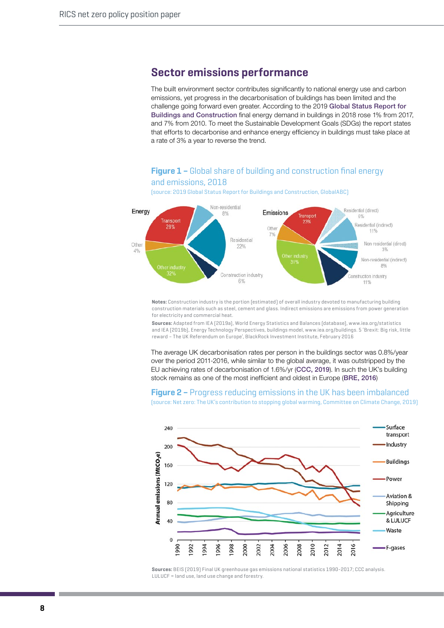# **Sector emissions performance**

The built environment sector contributes significantly to national energy use and carbon emissions, yet progress in the decarbonisation of buildings has been limited and the challenge going forward even greater. According to the 2019 [Global Status Report for](https://www.worldgbc.org/sites/default/files/2019%20Global%20Status%20Report%20for%20Buildings%20and%20Construction.pdf)  [Buildings and Construction](https://www.worldgbc.org/sites/default/files/2019%20Global%20Status%20Report%20for%20Buildings%20and%20Construction.pdf) final energy demand in buildings in 2018 rose 1% from 2017, and 7% from 2010. To meet the Sustainable Development Goals (SDGs) the report states that efforts to decarbonise and enhance energy efficiency in buildings must take place at a rate of 3% a year to reverse the trend.

### **Figure 1 –** Global share of building and construction final energy and emissions, 2018

(source: 2019 Global Status Report for Buildings and Construction, GlobalABC)



**Notes:** Construction industry is the portion (estimated) of overall industry devoted to manufacturing building construction materials such as steel, cement and glass. Indirect emissions are emissions from power generation for electricity and commercial heat.

**Sources:** Adapted from IEA (2019a), World Energy Statistics and Balances (database), www.iea.org/statistics and IEA (2019b), Energy Technology Perspectives, buildings model, www.iea.org/buildings. 5 'Brexit: Big risk, little reward – The UK Referendum on Europe', BlackRock Investment Institute, February 2016

The average UK decarbonisation rates per person in the buildings sector was 0.8%/year over the period 2011-2016, while similar to the global average, it was outstripped by the EU achieving rates of decarbonisation of 1.6%/yr ([CCC, 2019](https://www.theccc.org.uk/wp-content/uploads/2019/05/Net-Zero-The-UKs-contribution-to-stopping-global-warming.pdf)). In such the UK's building stock remains as one of the most inefficient and oldest in Europe ([BRE, 2016](https://www.bre.co.uk/filelibrary/Briefing%20papers/92993_BRE_Poor-Housing_in_-Europe.pdf))

#### **Figure 2 –** Progress reducing emissions in the UK has been imbalanced (source: Net zero: The UK's contribution to stopping global warming, Committee on Climate Change, 2019)



**Sources:** BEIS (2019) Final UK greenhouse gas emissions national statistics 1990-2017; CCC analysis. LULUCF = land use, land use change and forestry.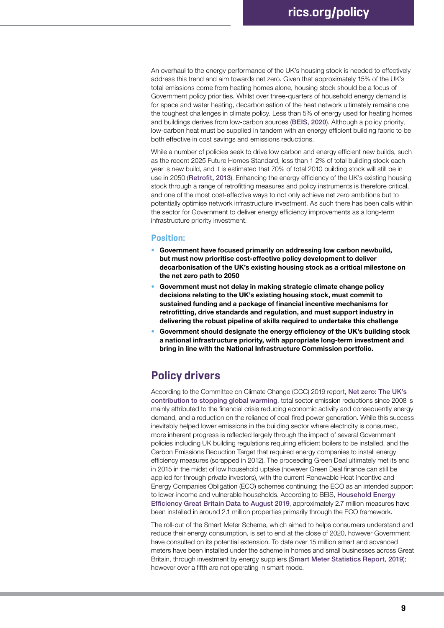An overhaul to the energy performance of the UK's housing stock is needed to effectively address this trend and aim towards net zero. Given that approximately 15% of the UK's total emissions come from heating homes alone, housing stock should be a focus of Government policy priorities. Whilst over three-quarters of household energy demand is for space and water heating, decarbonisation of the heat network ultimately remains one the toughest challenges in climate policy. Less than 5% of energy used for heating homes and buildings derives from low-carbon sources ([BEIS, 2020](https://www.gov.uk/government/news/new-protections-for-thousands-of-consumers-on-heat-networks)). Although a policy priority, low-carbon heat must be supplied in tandem with an energy efficient building fabric to be both effective in cost savings and emissions reductions.

While a number of policies seek to drive low carbon and energy efficient new builds, such as the recent 2025 Future Homes Standard, less than 1-2% of total building stock each year is new build, and it is estimated that 70% of total 2010 building stock will still be in use in 2050 ([Retrofit, 2013](https://mappedsites.cardiff.ac.uk/retrofit2050/wp-content/uploads/sites/18/2018/07/retrofit2050-visions-report-green.pdf)). Enhancing the energy efficiency of the UK's existing housing stock through a range of retrofitting measures and policy instruments is therefore critical, and one of the most cost-effective ways to not only achieve net zero ambitions but to potentially optimise network infrastructure investment. As such there has been calls within the sector for Government to deliver energy efficiency improvements as a long-term infrastructure priority investment.

#### **Position:**

- **• Government have focused primarily on addressing low carbon newbuild, but must now prioritise cost-effective policy development to deliver decarbonisation of the UK's existing housing stock as a critical milestone on the net zero path to 2050**
- **• Government must not delay in making strategic climate change policy decisions relating to the UK's existing housing stock, must commit to sustained funding and a package of financial incentive mechanisms for retrofitting, drive standards and regulation, and must support industry in delivering the robust pipeline of skills required to undertake this challenge**
- **• Government should designate the energy efficiency of the UK's building stock a national infrastructure priority, with appropriate long-term investment and bring in line with the National Infrastructure Commission portfolio.**

# **Policy drivers**

According to the Committee on Climate Change (CCC) 2019 report, [Net zero: The UK's](https://www.theccc.org.uk/publication/net-zero-the-uks-contribution-to-stopping-global-warming/)  [contribution to stopping global warming](https://www.theccc.org.uk/publication/net-zero-the-uks-contribution-to-stopping-global-warming/), total sector emission reductions since 2008 is mainly attributed to the financial crisis reducing economic activity and consequently energy demand, and a reduction on the reliance of coal-fired power generation. While this success inevitably helped lower emissions in the building sector where electricity is consumed, more inherent progress is reflected largely through the impact of several Government policies including UK building regulations requiring efficient boilers to be installed, and the Carbon Emissions Reduction Target that required energy companies to install energy efficiency measures (scrapped in 2012). The proceeding Green Deal ultimately met its end in 2015 in the midst of low household uptake (however Green Deal finance can still be applied for through private investors), with the current Renewable Heat Incentive and Energy Companies Obligation (ECO) schemes continuing; the ECO as an intended support to lower-income and vulnerable households. According to BEIS, [Household Energy](https://assets.publishing.service.gov.uk/government/uploads/system/uploads/attachment_data/file/839901/Headline_Release_-_HEE_stats_17_Oct_2019.pdf)  [Efficiency Great Britain Data to August 2019](https://assets.publishing.service.gov.uk/government/uploads/system/uploads/attachment_data/file/839901/Headline_Release_-_HEE_stats_17_Oct_2019.pdf), approximately 2.7 million measures have been installed in around 2.1 million properties primarily through the ECO framework.

The roll-out of the Smart Meter Scheme, which aimed to helps consumers understand and reduce their energy consumption, is set to end at the close of 2020, however Government have consulted on its potential extension. To date over 15 million smart and advanced meters have been installed under the scheme in homes and small businesses across Great Britain, through investment by energy suppliers ([Smart Meter Statistics Report, 2019](https://assets.publishing.service.gov.uk/government/uploads/system/uploads/attachment_data/file/848325/2019_Q3_Smart_Meters_Statistics_Report.pdf)); however over a fifth are not operating in smart mode.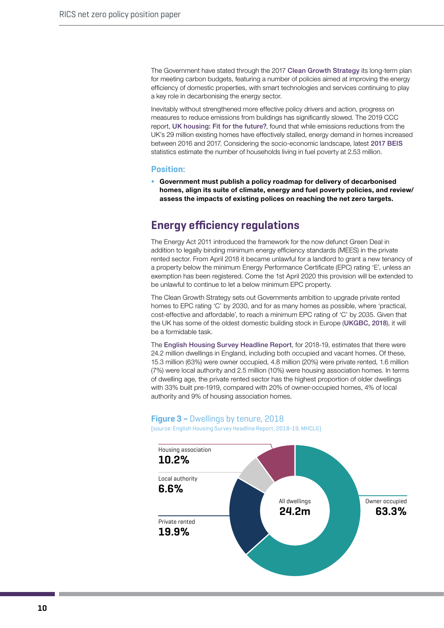The Government have stated through the 2017 [Clean Growth Strategy](https://www.gov.uk/government/publications/clean-growth-strategy) its long-term plan for meeting carbon budgets, featuring a number of policies aimed at improving the energy efficiency of domestic properties, with smart technologies and services continuing to play a key role in decarbonising the energy sector.

Inevitably without strengthened more effective policy drivers and action, progress on measures to reduce emissions from buildings has significantly slowed. The 2019 CCC report, [UK housing: Fit for the future?](https://www.theccc.org.uk/wp-content/uploads/2019/02/UK-housing-Fit-for-the-future-CCC-2019.pdf), found that while emissions reductions from the UK's 29 million existing homes have effectively stalled, energy demand in homes increased between 2016 and 2017. Considering the socio-economic landscape, latest [2017 BEIS](https://assets.publishing.service.gov.uk/government/uploads/system/uploads/attachment_data/file/829006/Annual_Fuel_Poverty_Statistics_Report_2019__2017_data_.pdf)  statistics estimate the number of households living in fuel poverty at 2.53 million.

#### **Position:**

**• Government must publish a policy roadmap for delivery of decarbonised homes, align its suite of climate, energy and fuel poverty policies, and review/ assess the impacts of existing polices on reaching the net zero targets.**

## **Energy efficiency regulations**

The Energy Act 2011 introduced the framework for the now defunct Green Deal in addition to legally binding minimum energy efficiency standards (MEES) in the private rented sector. From April 2018 it became unlawful for a landlord to grant a new tenancy of a property below the minimum Energy Performance Certificate (EPC) rating 'E', unless an exemption has been registered. Come the 1st April 2020 this provision will be extended to be unlawful to continue to let a below minimum EPC property.

The Clean Growth Strategy sets out Governments ambition to upgrade private rented homes to EPC rating 'C' by 2030, and for as many homes as possible, where 'practical, cost-effective and affordable', to reach a minimum EPC rating of 'C' by 2035. Given that the UK has some of the oldest domestic building stock in Europe ([UKGBC, 2018](https://eemap.energyefficientmortgages.eu/wp-content/uploads/2018/04/EeMAP_Building_Assessment_Briefing_UK.pdf)), it will be a formidable task.

The [English Housing Survey Headline Report](https://assets.publishing.service.gov.uk/government/uploads/system/uploads/attachment_data/file/860076/2018-19_EHS_Headline_Report.pdf), for 2018-19, estimates that there were 24.2 million dwellings in England, including both occupied and vacant homes. Of these, 15.3 million (63%) were owner occupied, 4.8 million (20%) were private rented, 1.6 million (7%) were local authority and 2.5 million (10%) were housing association homes. In terms of dwelling age, the private rented sector has the highest proportion of older dwellings with 33% built pre-1919, compared with 20% of owner-occupied homes, 4% of local authority and 9% of housing association homes.

### **Figure 3 –** Dwellings by tenure, 2018

(source: English Housing Survey Headline Report, 2018-19, MHCLG)

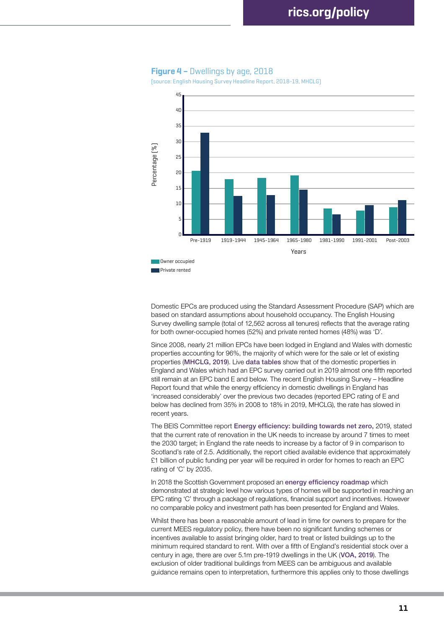

#### **Figure 4 –** Dwellings by age, 2018

(source: English Housing Survey Headline Report, 2018-19, MHCLG)

Domestic EPCs are produced using the Standard Assessment Procedure (SAP) which are based on standard assumptions about household occupancy. The English Housing Survey dwelling sample (total of 12,562 across all tenures) reflects that the average rating for both owner-occupied homes (52%) and private rented homes (48%) was 'D'.

Since 2008, nearly 21 million EPCs have been lodged in England and Wales with domestic properties accounting for 96%, the majority of which were for the sale or let of existing properties ([MHCLG, 2019](https://assets.publishing.service.gov.uk/government/uploads/system/uploads/attachment_data/file/843215/EPB_Cert_Statistics_Release_Q3_2019.pdf)). Live [data tables](https://www.gov.uk/government/statistical-data-sets/live-tables-on-energy-performance-of-buildings-certificates) show that of the domestic properties in England and Wales which had an EPC survey carried out in 2019 almost one fifth reported still remain at an EPC band E and below. The recent English Housing Survey – Headline Report found that while the energy efficiency in domestic dwellings in England has 'increased considerably' over the previous two decades (reported EPC rating of E and below has declined from 35% in 2008 to 18% in 2019, MHCLG), the rate has slowed in recent years.

The BEIS Committee report [Energy efficiency: building towards net zero,](https://publications.parliament.uk/pa/cm201719/cmselect/cmbeis/1730/1730.pdf) 2019, stated that the current rate of renovation in the UK needs to increase by around 7 times to meet the 2030 target; in England the rate needs to increase by a factor of 9 in comparison to Scotland's rate of 2.5. Additionally, the report citied available evidence that approximately £1 billion of public funding per year will be required in order for homes to reach an EPC rating of 'C' by 2035.

In 2018 the Scottish Government proposed an [energy efficiency roadmap](https://www.gov.scot/publications/energy-efficient-scotland-route-map/) which demonstrated at strategic level how various types of homes will be supported in reaching an EPC rating 'C' through a package of regulations, financial support and incentives. However no comparable policy and investment path has been presented for England and Wales.

Whilst there has been a reasonable amount of lead in time for owners to prepare for the current MEES regulatory policy, there have been no significant funding schemes or incentives available to assist bringing older, hard to treat or listed buildings up to the minimum required standard to rent. With over a fifth of England's residential stock over a century in age, there are over 5.1m pre-1919 dwellings in the UK ([VOA, 2019](https://www.gov.uk/government/statistics/council-tax-stock-of-properties-2019)). The exclusion of older traditional buildings from MEES can be ambiguous and available guidance remains open to interpretation, furthermore this applies only to those dwellings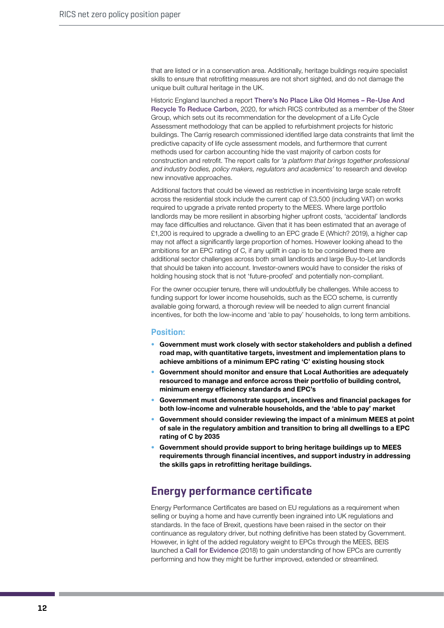that are listed or in a conservation area. Additionally, heritage buildings require specialist skills to ensure that retrofitting measures are not short sighted, and do not damage the unique built cultural heritage in the UK.

Historic England launched a report [There's No Place Like Old Homes – Re-Use And](https://historicengland.org.uk/content/heritage-counts/pub/2019/hc2019-re-use-recycle-to-reduce-carbon/)  [Recycle To Reduce Carbon,](https://historicengland.org.uk/content/heritage-counts/pub/2019/hc2019-re-use-recycle-to-reduce-carbon/) 2020, for which RICS contributed as a member of the Steer Group, which sets out its recommendation for the development of a Life Cycle Assessment methodology that can be applied to refurbishment projects for historic buildings. The Carrig research commissioned identified large data constraints that limit the predictive capacity of life cycle assessment models, and furthermore that current methods used for carbon accounting hide the vast majority of carbon costs for construction and retrofit. The report calls for *'a platform that brings together professional and industry bodies, policy makers, regulators and academics'* to research and develop new innovative approaches.

Additional factors that could be viewed as restrictive in incentivising large scale retrofit across the residential stock include the current cap of £3,500 (including VAT) on works required to upgrade a private rented property to the MEES. Where large portfolio landlords may be more resilient in absorbing higher upfront costs, 'accidental' landlords may face difficulties and reluctance. Given that it has been estimated that an average of £1,200 is required to upgrade a dwelling to an EPC grade E ([Which? 2019\)](https://www.which.co.uk/news/2019/04/new-epc-rules-mean-buy-to-let-landlords-could-face-costs-of-8500/), a higher cap may not affect a significantly large proportion of homes. However looking ahead to the ambitions for an EPC rating of C, if any uplift in cap is to be considered there are additional sector challenges across both small landlords and large Buy-to-Let landlords that should be taken into account. Investor-owners would have to consider the risks of holding housing stock that is not 'future-proofed' and potentially non-compliant.

For the owner occupier tenure, there will undoubtfully be challenges. While access to funding support for lower income households, such as the ECO scheme, is currently available going forward, a thorough review will be needed to align current financial incentives, for both the low-income and 'able to pay' households, to long term ambitions.

#### **Position:**

- **• Government must work closely with sector stakeholders and publish a defined road map, with quantitative targets, investment and implementation plans to achieve ambitions of a minimum EPC rating 'C' existing housing stock**
- **• Government should monitor and ensure that Local Authorities are adequately resourced to manage and enforce across their portfolio of building control, minimum energy efficiency standards and EPC's**
- **• Government must demonstrate support, incentives and financial packages for both low-income and vulnerable households, and the 'able to pay' market**
- **• Government should consider reviewing the impact of a minimum MEES at point of sale in the regulatory ambition and transition to bring all dwellings to a EPC rating of C by 2035**
- **• Government should provide support to bring heritage buildings up to MEES requirements through financial incentives, and support industry in addressing the skills gaps in retrofitting heritage buildings.**

## **Energy performance certificate**

Energy Performance Certificates are based on EU regulations as a requirement when selling or buying a home and have currently been ingrained into UK regulations and standards. In the face of Brexit, questions have been raised in the sector on their continuance as regulatory driver, but nothing definitive has been stated by Government. However, in light of the added regulatory weight to EPCs through the MEES, BEIS launched a [Call for Evidence](https://www.gov.uk/government/consultations/energy-performance-certificates-in-buildings-call-for-evidence) (2018) to gain understanding of how EPCs are currently performing and how they might be further improved, extended or streamlined.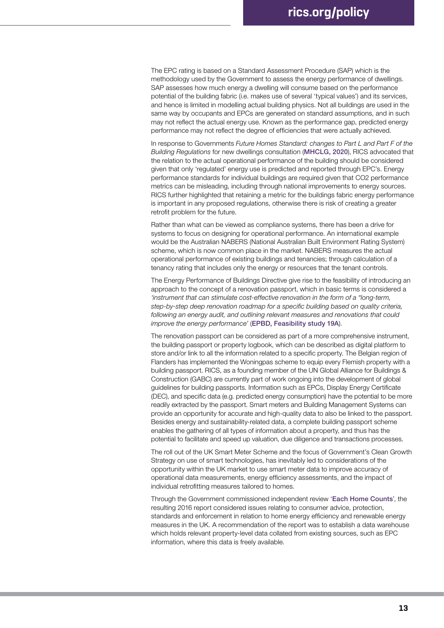The EPC rating is based on a Standard Assessment Procedure (SAP) which is the methodology used by the Government to assess the energy performance of dwellings. SAP assesses how much energy a dwelling will consume based on the performance potential of the building fabric (i.e. makes use of several 'typical values') and its services, and hence is limited in modelling actual building physics. Not all buildings are used in the same way by occupants and EPCs are generated on standard assumptions, and in such may not reflect the actual energy use. Known as the performance gap, predicted energy performance may not reflect the degree of efficiencies that were actually achieved.

In response to Governments *Future Homes Standard: changes to Part L and Part F of the Building Regulations* for new dwellings consultation ([MHCLG, 2020](https://www.gov.uk/government/consultations/the-future-homes-standard-changes-to-part-l-and-part-f-of-the-building-regulations-for-new-dwellings)), RICS advocated that the relation to the actual operational performance of the building should be considered given that only 'regulated' energy use is predicted and reported through EPC's. Energy performance standards for individual buildings are required given that CO2 performance metrics can be misleading, including through national improvements to energy sources. RICS further highlighted that retaining a metric for the buildings fabric energy performance is important in any proposed regulations, otherwise there is risk of creating a greater retrofit problem for the future.

Rather than what can be viewed as compliance systems, there has been a drive for systems to focus on designing for operational performance. An international example would be the Australian NABERS (National Australian Built Environment Rating System) scheme, which is now common place in the market. NABERS measures the actual operational performance of existing buildings and tenancies; through calculation of a tenancy rating that includes only the energy or resources that the tenant controls.

The Energy Performance of Buildings Directive give rise to the feasibility of introducing an approach to the concept of a renovation passport, which in basic terms is considered a *'instrument that can stimulate cost-effective renovation in the form of a "long-term, step-by-step deep renovation roadmap for a specific building based on quality criteria, following an energy audit, and outlining relevant measures and renovations that could improve the energy performance'* ([EPBD, Feasibility study 19A](https://www.epbd19a.eu)).

The renovation passport can be considered as part of a more comprehensive instrument, the building passport or property logbook, which can be described as digital platform to store and/or link to all the information related to a specific property. The Belgian region of Flanders has implemented the Woningpas scheme to equip every Flemish property with a building passport. RICS, as a founding member of the UN Global Alliance for Buildings & Construction (GABC) are currently part of work ongoing into the development of global guidelines for building passports. Information such as EPCs, Display Energy Certificate (DEC), and specific data (e.g. predicted energy consumption) have the potential to be more readily extracted by the passport. Smart meters and Building Management Systems can provide an opportunity for accurate and high-quality data to also be linked to the passport. Besides energy and sustainability-related data, a complete building passport scheme enables the gathering of all types of information about a property, and thus has the potential to facilitate and speed up valuation, due diligence and transactions processes.

The roll out of the UK Smart Meter Scheme and the focus of Government's Clean Growth Strategy on use of smart technologies, has inevitably led to considerations of the opportunity within the UK market to use smart meter data to improve accuracy of operational data measurements, energy efficiency assessments, and the impact of individual retrofitting measures tailored to homes.

Through the Government commissioned independent review '[Each Home Counts](https://www.gov.uk/government/publications/each-home-counts-review-of-consumer-advice-protection-standards-and-enforcement-for-energy-efficiency-and-renewable-energy)', the resulting 2016 report considered issues relating to consumer advice, protection, standards and enforcement in relation to home energy efficiency and renewable energy measures in the UK. A recommendation of the report was to establish a data warehouse which holds relevant property-level data collated from existing sources, such as EPC information, where this data is freely available.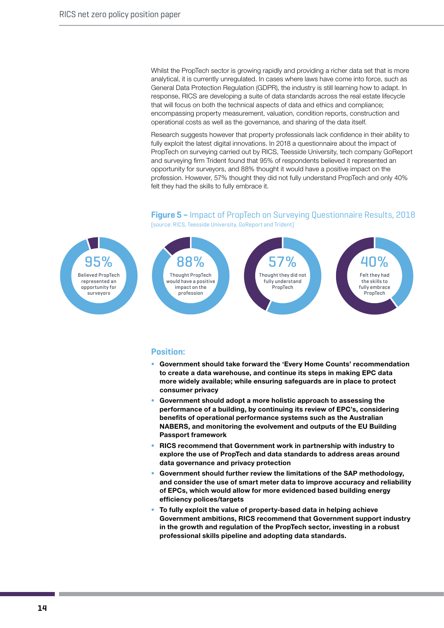Whilst the PropTech sector is growing rapidly and providing a richer data set that is more analytical, it is currently unregulated. In cases where laws have come into force, such as General Data Protection Regulation (GDPR), the industry is still learning how to adapt. In response, RICS are developing a suite of data standards across the real estate lifecycle that will focus on both the technical aspects of data and ethics and compliance; encompassing property measurement, valuation, condition reports, construction and operational costs as well as the governance, and sharing of the data itself.

Research suggests however that property professionals lack confidence in their ability to fully exploit the latest digital innovations. In 2018 a questionnaire about the impact of PropTech on surveying carried out by RICS, Teesside University, tech company GoReport and surveying firm Trident found that 95% of respondents believed it represented an opportunity for surveyors, and 88% thought it would have a positive impact on the profession. However, 57% thought they did not fully understand PropTech and only 40% felt they had the skills to fully embrace it.

#### **Figure 5 –** Impact of PropTech on Surveying Questionnaire Results, 2018 (source: RICS, Teesside University, GoReport and Trident)



- **• Government should take forward the 'Every Home Counts' recommendation to create a data warehouse, and continue its steps in making EPC data more widely available; while ensuring safeguards are in place to protect consumer privacy**
- **• Government should adopt a more holistic approach to assessing the performance of a building, by continuing its review of EPC's, considering benefits of operational performance systems such as the Australian NABERS, and monitoring the evolvement and outputs of the EU Building Passport framework**
- **• RICS recommend that Government work in partnership with industry to explore the use of PropTech and data standards to address areas around data governance and privacy protection**
- **• Government should further review the limitations of the SAP methodology, and consider the use of smart meter data to improve accuracy and reliability of EPCs, which would allow for more evidenced based building energy efficiency polices/targets**
- **• To fully exploit the value of property-based data in helping achieve Government ambitions, RICS recommend that Government support industry in the growth and regulation of the PropTech sector, investing in a robust professional skills pipeline and adopting data standards.**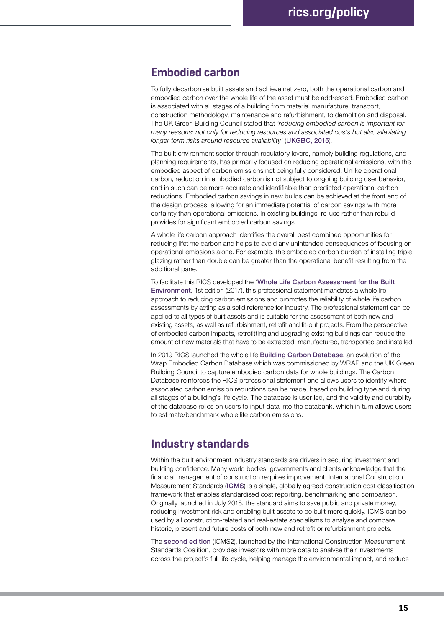## **Embodied carbon**

To fully decarbonise built assets and achieve net zero, both the operational carbon and embodied carbon over the whole life of the asset must be addressed. Embodied carbon is associated with all stages of a building from material manufacture, transport, construction methodology, maintenance and refurbishment, to demolition and disposal. The UK Green Building Council stated that *'reducing embodied carbon is important for many reasons; not only for reducing resources and associated costs but also alleviating longer term risks around resource availability'* ([UKGBC, 2015](https://www.ukgbc.org/sites/default/files/Tackling%20embodied%20carbon%20in%20buildings.pdf)).

The built environment sector through regulatory levers, namely building regulations, and planning requirements, has primarily focused on reducing operational emissions, with the embodied aspect of carbon emissions not being fully considered. Unlike operational carbon, reduction in embodied carbon is not subject to ongoing building user behavior, and in such can be more accurate and identifiable than predicted operational carbon reductions. Embodied carbon savings in new builds can be achieved at the front end of the design process, allowing for an immediate potential of carbon savings with more certainty than operational emissions. In existing buildings, re-use rather than rebuild provides for significant embodied carbon savings.

A whole life carbon approach identifies the overall best combined opportunities for reducing lifetime carbon and helps to avoid any unintended consequences of focusing on operational emissions alone. For example, the embodied carbon burden of installing triple glazing rather than double can be greater than the operational benefit resulting from the additional pane.

To facilitate this RICS developed the '[Whole Life Carbon Assessment for the Built](https://www.rics.org/uk/upholding-professional-standards/sector-standards/building-surveying/whole-life-carbon-assessment-for-the-built-environment/)  [Environment](https://www.rics.org/uk/upholding-professional-standards/sector-standards/building-surveying/whole-life-carbon-assessment-for-the-built-environment/), 1st edition (2017), this professional statement mandates a whole life approach to reducing carbon emissions and promotes the reliability of whole life carbon assessments by acting as a solid reference for industry. The professional statement can be applied to all types of built assets and is suitable for the assessment of both new and existing assets, as well as refurbishment, retrofit and fit-out projects. From the perspective of embodied carbon impacts, retrofitting and upgrading existing buildings can reduce the amount of new materials that have to be extracted, manufactured, transported and installed.

In 2019 RICS launched the whole life [Building Carbon Database](https://wlcarbon.rics.org/About.aspx), an evolution of the Wrap Embodied Carbon Database which was commissioned by WRAP and the UK Green Building Council to capture embodied carbon data for whole buildings. The Carbon Database reinforces the RICS professional statement and allows users to identify where associated carbon emission reductions can be made, based on building type and during all stages of a building's life cycle. The database is user-led, and the validity and durability of the database relies on users to input data into the databank, which in turn allows users to estimate/benchmark whole life carbon emissions.

## **Industry standards**

Within the built environment industry standards are drivers in securing investment and building confidence. Many world bodies, governments and clients acknowledge that the financial management of construction requires improvement. International Construction Measurement Standards ([ICMS](https://www.rics.org/globalassets/rics-website/media/upholding-professional-standards/sector-standards/construction/icms-standard-rics.pdf)) is a single, globally agreed construction cost classification framework that enables standardised cost reporting, benchmarking and comparison. Originally launched in July 2018, the standard aims to save public and private money, reducing investment risk and enabling built assets to be built more quickly. ICMS can be used by all construction-related and real-estate specialisms to analyse and compare historic, present and future costs of both new and retrofit or refurbishment projects.

The [second edition](https://www.rics.org/globalassets/rics-website/media/upholding-professional-standards/sector-standards/construction/international-construction-measurement-standards-2nd-edition-rics.pdf) (ICMS2), launched by the International Construction Measurement Standards Coalition, provides investors with more data to analyse their investments across the project's full life-cycle, helping manage the environmental impact, and reduce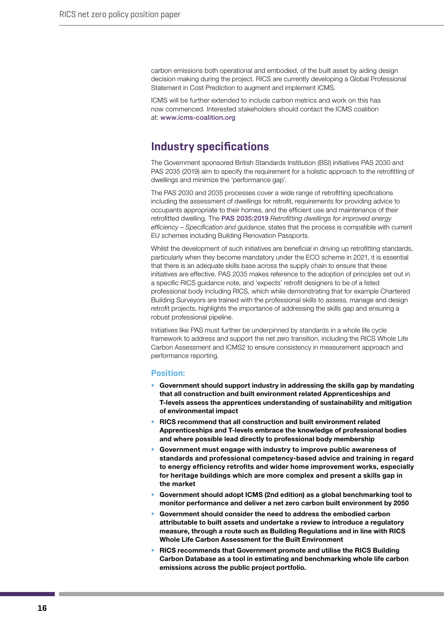carbon emissions both operational and embodied, of the built asset by aiding design decision making during the project. RICS are currently developing a Global Professional Statement in Cost Prediction to augment and implement ICMS.

ICMS will be further extended to include carbon metrics and work on this has now commenced. Interested stakeholders should contact the ICMS coalition at: [www.icms-coalition.org](http://www.icms-coalition.org)

## **Industry specifications**

The Government sponsored British Standards Institution (BSI) initiatives PAS 2030 and PAS 2035 (2019) aim to specify the requirement for a holistic approach to the retrofitting of dwellings and minimize the 'performance gap'.

The PAS 2030 and 2035 processes cover a wide range of retrofitting specifications including the assessment of dwellings for retrofit, requirements for providing advice to occupants appropriate to their homes, and the efficient use and maintenance of their retrofitted dwelling. The [PAS 2035:2019](https://pas2030.bsigroup.com/auth/SWR5MJB9WVYU/pas20352019/AuthHome/Contents) *Retrofitting dwellings for improved energy efficiency – Specification and guidance*, states that the process is compatible with current EU schemes including Building Renovation Passports.

Whilst the development of such initiatives are beneficial in driving up retrofitting standards, particularly when they become mandatory under the ECO scheme in 2021, it is essential that there is an adequate skills base across the supply chain to ensure that these initiatives are effective. PAS 2035 makes reference to the adoption of principles set out in a specific RICS guidance note, and 'expects' retrofit designers to be of a listed professional body including RICS, which while demonstrating that for example Chartered Building Surveyors are trained with the professional skills to assess, manage and design retrofit projects, highlights the importance of addressing the skills gap and ensuring a robust professional pipeline.

Initiatives like PAS must further be underpinned by standards in a whole life cycle framework to address and support the net zero transition, including the RICS Whole Life Carbon Assessment and ICMS2 to ensure consistency in measurement approach and performance reporting.

- **• Government should support industry in addressing the skills gap by mandating that all construction and built environment related Apprenticeships and T-levels assess the apprentices understanding of sustainability and mitigation of environmental impact**
- **• RICS recommend that all construction and built environment related Apprenticeships and T-levels embrace the knowledge of professional bodies and where possible lead directly to professional body membership**
- **• Government must engage with industry to improve public awareness of standards and professional competency-based advice and training in regard to energy efficiency retrofits and wider home improvement works, especially for heritage buildings which are more complex and present a skills gap in the market**
- **• Government should adopt ICMS (2nd edition) as a global benchmarking tool to monitor performance and deliver a net zero carbon built environment by 2050**
- **• Government should consider the need to address the embodied carbon attributable to built assets and undertake a review to introduce a regulatory measure, through a route such as Building Regulations and in line with RICS Whole Life Carbon Assessment for the Built Environment**
- **• RICS recommends that Government promote and utilise the RICS Building Carbon Database as a tool in estimating and benchmarking whole life carbon emissions across the public project portfolio.**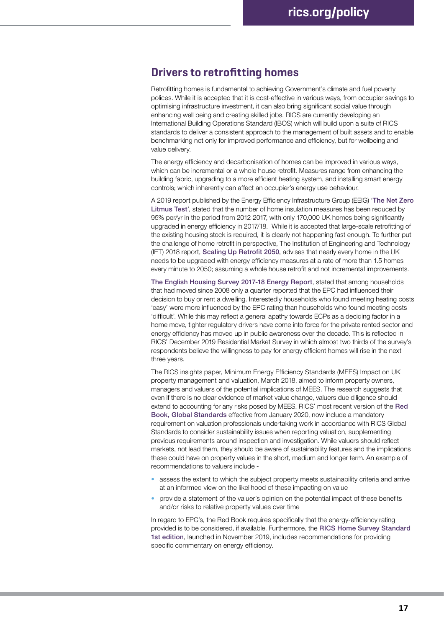## **Drivers to retrofitting homes**

Retrofitting homes is fundamental to achieving Government's climate and fuel poverty polices. While it is accepted that it is cost-effective in various ways, from occupier savings to optimising infrastructure investment, it can also bring significant social value through enhancing well being and creating skilled jobs. RICS are currently developing an International Building Operations Standard (IBOS) which will build upon a suite of RICS standards to deliver a consistent approach to the management of built assets and to enable benchmarking not only for improved performance and efficiency, but for wellbeing and value delivery.

The energy efficiency and decarbonisation of homes can be improved in various ways, which can be incremental or a whole house retrofit. Measures range from enhancing the building fabric, upgrading to a more efficient heating system, and installing smart energy controls; which inherently can affect an occupier's energy use behaviour.

A 2019 report published by the Energy Efficiency Infrastructure Group (EEIG) '[The Net Zero](https://www.theeeig.co.uk/news/the-net-zero-litmus-test/)  [Litmus Test](https://www.theeeig.co.uk/news/the-net-zero-litmus-test/)', stated that the number of home insulation measures has been reduced by 95% per/yr in the period from 2012-2017, with only 170,000 UK homes being significantly upgraded in energy efficiency in 2017/18. While it is accepted that large-scale retrofitting of the existing housing stock is required, it is clearly not happening fast enough. To further put the challenge of home retrofit in perspective, The Institution of Engineering and Technology (IET) 2018 report, [Scaling Up Retrofit 2050](https://www.theiet.org/impact-society/factfiles/built-environment-factfiles/retrofit-2050/), advises that nearly every home in the UK needs to be upgraded with energy efficiency measures at a rate of more than 1.5 homes every minute to 2050; assuming a whole house retrofit and not incremental improvements.

[The English Housing Survey 2017-18 Energy Report](https://www.gov.uk/government/statistics/english-housing-survey-2017-to-2018-energy), stated that among households that had moved since 2008 only a quarter reported that the EPC had influenced their decision to buy or rent a dwelling. Interestedly households who found meeting heating costs 'easy' were more influenced by the EPC rating than households who found meeting costs 'difficult'. While this may reflect a general apathy towards ECPs as a deciding factor in a home move, tighter regulatory drivers have come into force for the private rented sector and energy efficiency has moved up in public awareness over the decade. This is reflected in RICS' December 2019 Residential Market Survey in which almost two thirds of the survey's respondents believe the willingness to pay for energy efficient homes will rise in the next three years.

The RICS insights paper, [Minimum Energy Efficiency Standards \(MEES\) Impact on UK](https://www.rics.org/uk/news-insight/research/insights/minimum-energy-efficiency-standards-mees-impact-on-uk-property-management-and-valuation/)  [property management and valuation](https://www.rics.org/uk/news-insight/research/insights/minimum-energy-efficiency-standards-mees-impact-on-uk-property-management-and-valuation/), March 2018, aimed to inform property owners, managers and valuers of the potential implications of MEES. The research suggests that even if there is no clear evidence of market value change, valuers due diligence should extend to accounting for any risks posed by MEES. RICS' most recent version of the [Red](https://www.rics.org/uk/upholding-professional-standards/sector-standards/valuation/red-book/red-book-global/)  [Book, Global Standards](https://www.rics.org/uk/upholding-professional-standards/sector-standards/valuation/red-book/red-book-global/) effective from January 2020, now include a mandatory requirement on valuation professionals undertaking work in accordance with RICS Global Standards to consider sustainability issues when reporting valuation, supplementing previous requirements around inspection and investigation. While valuers should reflect markets, not lead them, they should be aware of sustainability features and the implications these could have on property values in the short, medium and longer term. An example of recommendations to valuers include -

- **•** assess the extent to which the subject property meets sustainability criteria and arrive at an informed view on the likelihood of these impacting on value
- **•** provide a statement of the valuer's opinion on the potential impact of these benefits and/or risks to relative property values over time

In regard to EPC's, the Red Book requires specifically that the energy-efficiency rating provided is to be considered, if available. Furthermore, the [RICS Home Survey Standard](https://www.rics.org/uk/upholding-professional-standards/sector-standards/building-surveying/home-surveys/home-survey-standards/)  [1st edition](https://www.rics.org/uk/upholding-professional-standards/sector-standards/building-surveying/home-surveys/home-survey-standards/), launched in November 2019, includes recommendations for providing specific commentary on energy efficiency.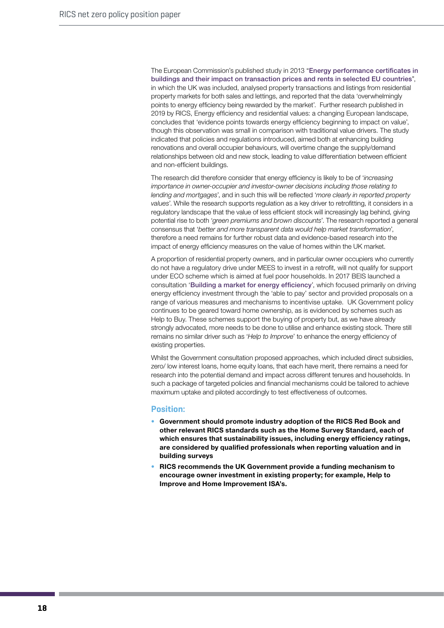The European Commission's published study in 2013 "[Energy performance certificates in](https://ec.europa.eu/energy/studies/energy-performance-certificates-buildings-and-their-impact-transaction-prices-and-rents_en?redir=1)  [buildings and their impact on transaction prices and rents in selected EU countries](https://ec.europa.eu/energy/studies/energy-performance-certificates-buildings-and-their-impact-transaction-prices-and-rents_en?redir=1)", in which the UK was included, analysed property transactions and listings from residential property markets for both sales and lettings, and reported that the data 'overwhelmingly points to energy efficiency being rewarded by the market'. Further research published in 2019 by RICS, [Energy efficiency and residential values: a changing European landscape](https://www.rics.org/globalassets/rics-website/media/knowledge/research/insights/energy-efficiency-and-residential-values.pdf), concludes that 'evidence points towards energy efficiency beginning to impact on value', though this observation was small in comparison with traditional value drivers. The study indicated that policies and regulations introduced, aimed both at enhancing building renovations and overall occupier behaviours, will overtime change the supply/demand relationships between old and new stock, leading to value differentiation between efficient and non-efficient buildings.

The research did therefore consider that energy efficiency is likely to be of '*increasing importance in owner-occupier and investor-owner decisions including those relating to lending and mortgages*', and in such this will be reflected '*more clearly in reported property values*'. While the research supports regulation as a key driver to retrofitting, it considers in a regulatory landscape that the value of less efficient stock will increasingly lag behind, giving potential rise to both '*green premiums and brown discounts*'. The research reported a general consensus that '*better and more transparent data would help market transformation*', therefore a need remains for further robust data and evidence-based research into the impact of energy efficiency measures on the value of homes within the UK market.

A proportion of residential property owners, and in particular owner occupiers who currently do not have a regulatory drive under MEES to invest in a retrofit, will not qualify for support under ECO scheme which is aimed at fuel poor households. In 2017 BEIS launched a consultation '[Building a market for energy efficiency](https://www.gov.uk/government/consultations/building-a-market-for-energy-efficiency-call-for-evidence)', which focused primarily on driving energy efficiency investment through the 'able to pay' sector and provided proposals on a range of various measures and mechanisms to incentivise uptake. UK Government policy continues to be geared toward home ownership, as is evidenced by schemes such as Help to Buy. These schemes support the buying of property but, as we have already strongly advocated, more needs to be done to utilise and enhance existing stock. There still remains no similar driver such as '*Help to Improve*' to enhance the energy efficiency of existing properties.

Whilst the Government consultation proposed approaches, which included direct subsidies, zero/ low interest loans, home equity loans, that each have merit, there remains a need for research into the potential demand and impact across different tenures and households. In such a package of targeted policies and financial mechanisms could be tailored to achieve maximum uptake and piloted accordingly to test effectiveness of outcomes.

- **• Government should promote industry adoption of the RICS Red Book and other relevant RICS standards such as the Home Survey Standard, each of which ensures that sustainability issues, including energy efficiency ratings, are considered by qualified professionals when reporting valuation and in building surveys**
- **• RICS recommends the UK Government provide a funding mechanism to encourage owner investment in existing property; for example, Help to Improve and Home Improvement ISA's.**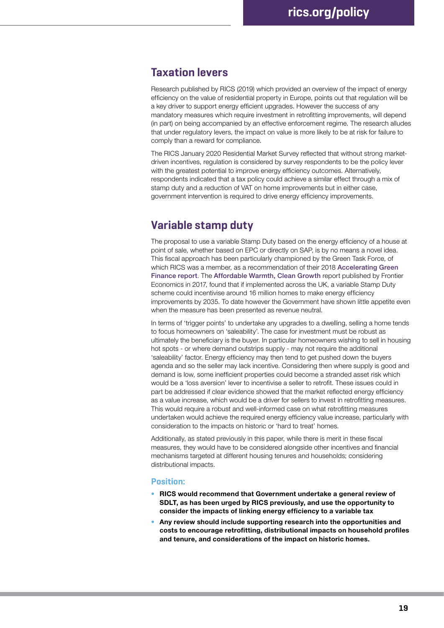## **Taxation levers**

Research published by RICS [\(2019](https://www.rics.org/globalassets/rics-website/media/knowledge/research/insights/energy-efficiency-and-residential-values.pdf)) which provided an overview of the impact of energy efficiency on the value of residential property in Europe, points out that regulation will be a key driver to support energy efficient upgrades. However the success of any mandatory measures which require investment in retrofitting improvements, will depend (in part) on being accompanied by an effective enforcement regime. The research alludes that under regulatory levers, the impact on value is more likely to be at risk for failure to comply than a reward for compliance.

The RICS January 2020 Residential Market Survey reflected that without strong marketdriven incentives, regulation is considered by survey respondents to be the policy lever with the greatest potential to improve energy efficiency outcomes. Alternatively, respondents indicated that a tax policy could achieve a similar effect through a mix of stamp duty and a reduction of VAT on home improvements but in either case, government intervention is required to drive energy efficiency improvements.

# **Variable stamp duty**

The proposal to use a variable Stamp Duty based on the energy efficiency of a house at point of sale, whether based on EPC or directly on SAP, is by no means a novel idea. This fiscal approach has been particularly championed by the Green Task Force, of which RICS was a member, as a recommendation of their 2018 [Accelerating Green](https://www.gov.uk/government/publications/accelerating-green-finance-green-finance-taskforce-report)  [Finance report](https://www.gov.uk/government/publications/accelerating-green-finance-green-finance-taskforce-report). The [Affordable Warmth, Clean Growth](https://www.frontier-economics.com/uk/en/news-and-articles/articles/article-i4324-affordable-warmth-clean-growth/) report published by Frontier Economics in 2017, found that if implemented across the UK, a variable Stamp Duty scheme could incentivise around 16 million homes to make energy efficiency improvements by 2035. To date however the Government have shown little appetite even when the measure has been presented as revenue neutral.

In terms of 'trigger points' to undertake any upgrades to a dwelling, selling a home tends to focus homeowners on 'saleability'. The case for investment must be robust as ultimately the beneficiary is the buyer. In particular homeowners wishing to sell in housing hot spots - or where demand outstrips supply - may not require the additional 'saleability' factor. Energy efficiency may then tend to get pushed down the buyers agenda and so the seller may lack incentive. Considering then where supply is good and demand is low, some inefficient properties could become a stranded asset risk which would be a 'loss aversion' lever to incentivise a seller to retrofit. These issues could in part be addressed if clear evidence showed that the market reflected energy efficiency as a value increase, which would be a driver for sellers to invest in retrofitting measures. This would require a robust and well-informed case on what retrofitting measures undertaken would achieve the required energy efficiency value increase, particularly with consideration to the impacts on historic or 'hard to treat' homes.

Additionally, as stated previously in this paper, while there is merit in these fiscal measures, they would have to be considered alongside other incentives and financial mechanisms targeted at different housing tenures and households; considering distributional impacts.

- **• RICS would recommend that Government undertake a general review of SDLT, as has been urged by RICS previously, and use the opportunity to consider the impacts of linking energy efficiency to a variable tax**
- **• Any review should include supporting research into the opportunities and costs to encourage retrofitting, distributional impacts on household profiles and tenure, and considerations of the impact on historic homes.**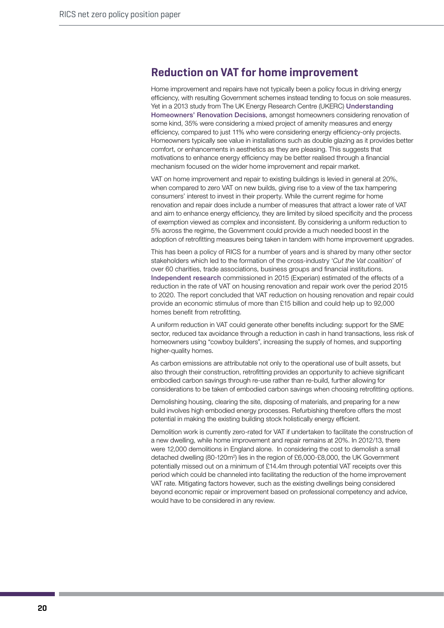# **Reduction on VAT for home improvement**

Home improvement and repairs have not typically been a policy focus in driving energy efficiency, with resulting Government schemes instead tending to focus on sole measures. Yet in a 2013 study from The UK Energy Research Centre (UKERC) Understanding [Homeowners' Renovation Decisions](https://ukerc.rl.ac.uk/UCAT/PUBLICATIONS/Understanding_Homeowners_Renovation_Decisions_Findings_of_the_VERD_Project.pdf), amongst homeowners considering renovation of some kind, 35% were considering a mixed project of amenity measures and energy efficiency, compared to just 11% who were considering energy efficiency-only projects. Homeowners typically see value in installations such as double glazing as it provides better comfort, or enhancements in aesthetics as they are pleasing. This suggests that motivations to enhance energy efficiency may be better realised through a financial mechanism focused on the wider home improvement and repair market.

VAT on home improvement and repair to existing buildings is levied in general at 20%, when compared to zero VAT on new builds, giving rise to a view of the tax hampering consumers' interest to invest in their property. While the current regime for home renovation and repair does include a number of measures that attract a lower rate of VAT and aim to enhance energy efficiency, they are limited by siloed specificity and the process of exemption viewed as complex and inconsistent. By considering a uniform reduction to 5% across the regime, the Government could provide a much needed boost in the adoption of retrofitting measures being taken in tandem with home improvement upgrades.

This has been a policy of RICS for a number of years and is shared by many other sector stakeholders which led to the formation of the cross-industry '*Cut the Vat coalition*' of over 60 charities, trade associations, business groups and financial institutions. [Independent research](https://www.fmb.org.uk/media/10357/vatresearchfinal.pdf) commissioned in 2015 (Experian) estimated of the effects of a reduction in the rate of VAT on housing renovation and repair work over the period 2015 to 2020. The report concluded that VAT reduction on housing renovation and repair could provide an economic stimulus of more than £15 billion and could help up to 92,000 homes benefit from retrofitting.

A uniform reduction in VAT could generate other benefits including: support for the SME sector, reduced tax avoidance through a reduction in cash in hand transactions, less risk of homeowners using "cowboy builders", increasing the supply of homes, and supporting higher-quality homes.

As carbon emissions are attributable not only to the operational use of built assets, but also through their construction, retrofitting provides an opportunity to achieve significant embodied carbon savings through re-use rather than re-build, further allowing for considerations to be taken of embodied carbon savings when choosing retrofitting options.

Demolishing housing, clearing the site, disposing of materials, and preparing for a new build involves high embodied energy processes. Refurbishing therefore offers the most potential in making the existing building stock holistically energy efficient.

Demolition work is currently zero-rated for VAT if undertaken to facilitate the construction of a new dwelling, while home improvement and repair remains at 20%. In 2012/13, there were 12,000 demolitions in England alone. In considering the cost to demolish a small detached dwelling (80-120m<sup>2</sup>) lies in the region of £6,000-£8,000, the UK Government potentially missed out on a minimum of £14.4m through potential VAT receipts over this period which could be channeled into facilitating the reduction of the home improvement VAT rate. Mitigating factors however, such as the existing dwellings being considered beyond economic repair or improvement based on professional competency and advice, would have to be considered in any review.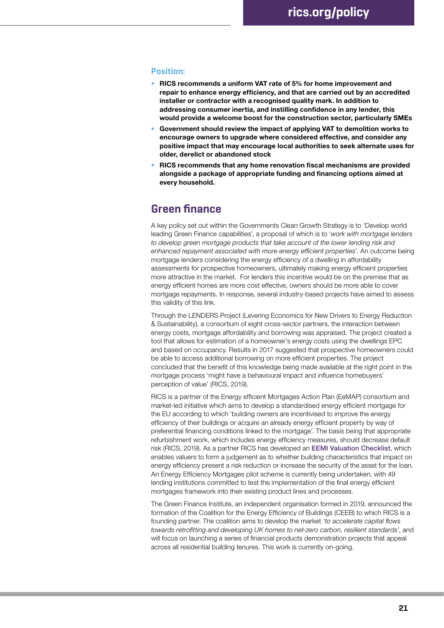#### **Position:**

- **• RICS recommends a uniform VAT rate of 5% for home improvement and repair to enhance energy efficiency, and that are carried out by an accredited installer or contractor with a recognised quality mark. In addition to addressing consumer inertia, and instilling confidence in any lender, this would provide a welcome boost for the construction sector, particularly SMEs**
- **• Government should review the impact of applying VAT to demolition works to encourage owners to upgrade where considered effective, and consider any positive impact that may encourage local authorities to seek alternate uses for older, derelict or abandoned stock**
- **• RICS recommends that any home renovation fiscal mechanisms are provided alongside a package of appropriate funding and financing options aimed at every household.**

## **Green finance**

A key policy set out within the Governments Clean Growth Strategy is to 'Develop world leading Green Finance capabilities', a proposal of which is to '*work with mortgage lenders*  to develop green mortgage products that take account of the lower lending risk and *enhanced repayment associated with more energy efficient properties*'. An outcome being mortgage lenders considering the energy efficiency of a dwelling in affordability assessments for prospective homeowners, ultimately making energy efficient properties more attractive in the market. For lenders this incentive would be on the premise that as energy efficient homes are more cost effective, owners should be more able to cover mortgage repayments. In response, several industry-based projects have aimed to assess this validity of this link.

Through the LENDERS Project (Levering Economics for New Drivers to Energy Reduction & Sustainability), a consortium of eight cross-sector partners, the interaction between energy costs, mortgage affordability and borrowing was appraised. The project created a tool that allows for estimation of a homeowner's energy costs using the dwellings EPC and based on occupancy. Results in 2017 suggested that prospective homeowners could be able to access additional borrowing on more efficient properties. The project concluded that the benefit of this knowledge being made available at the right point in the mortgage process 'might have a behavioural impact and influence homebuyers' perception of value' [\(RICS, 2019\)](https://www.rics.org/globalassets/rics-website/media/knowledge/research/insights/energy-efficiency-and-residential-values.pdf).

RICS is a partner of the Energy efficient Mortgages Action Plan (EeMAP) consortium and market-led initiative which aims to develop a [standardised energy efficient mortgage](https://www.rics.org/uk/news-insight/research/insights/minimum-energy-efficiency-standards-mees-impact-on-uk-property-management-and-valuation/) for the EU according to which 'building owners are incentivised to improve the energy efficiency of their buildings or acquire an already energy efficient property by way of preferential financing conditions linked to the mortgage'. The basis being that appropriate refurbishment work, which includes energy efficiency measures, should decrease default risk (RICS, 2019). As a partner RICS has developed an [EEMI Valuation Checklist](https://eemap.energyefficientmortgages.eu/wp-content/uploads/2018/11/Valuation-and-Energy-Efficiency-Checklist.pdf), which enables valuers to form a judgement as to whether building characteristics that impact on energy efficiency present a risk reduction or increase the security of the asset for the loan. An Energy Efficiency Mortgages pilot scheme is currently being undertaken, with 49 lending institutions committed to test the implementation of the final energy efficient mortgages framework into their existing product lines and processes.

The Green Finance Institute, an independent organisation formed in 2019, announced the formation of the Coalition for the Energy Efficiency of Buildings (CEEB) to which RICS is a founding partner. The coalition aims to develop the market *'to accelerate capital flows towards retrofitting and developing UK homes to net-zero carbon, resilient standards'*, and will focus on launching a series of financial products demonstration projects that appeal across all residential building tenures. This work is currently on-going.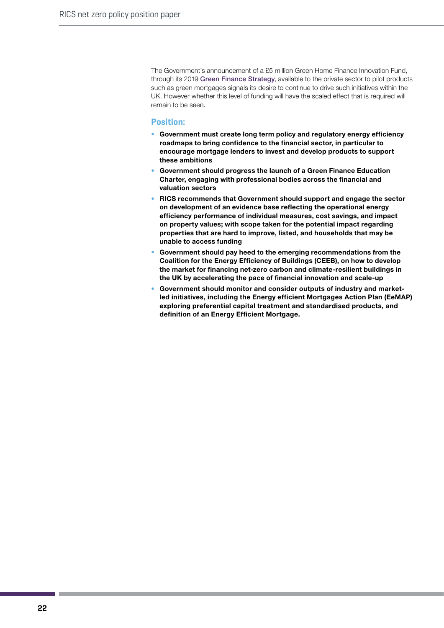The Government's announcement of a £5 million Green Home Finance Innovation Fund, through its 2019 [Green Finance Strategy](https://assets.publishing.service.gov.uk/government/uploads/system/uploads/attachment_data/file/820284/190716_BEIS_Green_Finance_Strategy_Accessible_Final.pdf), available to the private sector to pilot products such as green mortgages signals its desire to continue to drive such initiatives within the UK. However whether this level of funding will have the scaled effect that is required will remain to be seen.

- **• Government must create long term policy and regulatory energy efficiency roadmaps to bring confidence to the financial sector, in particular to encourage mortgage lenders to invest and develop products to support these ambitions**
- **• Government should progress the launch of a Green Finance Education Charter, engaging with professional bodies across the financial and valuation sectors**
- **• RICS recommends that Government should support and engage the sector on development of an evidence base reflecting the operational energy efficiency performance of individual measures, cost savings, and impact on property values; with scope taken for the potential impact regarding properties that are hard to improve, listed, and households that may be unable to access funding**
- **• Government should pay heed to the emerging recommendations from the Coalition for the Energy Efficiency of Buildings (CEEB), on how to develop the market for financing net-zero carbon and climate-resilient buildings in the UK by accelerating the pace of financial innovation and scale-up**
- **• Government should monitor and consider outputs of industry and marketled initiatives, including the Energy efficient Mortgages Action Plan (EeMAP) exploring preferential capital treatment and standardised products, and definition of an Energy Efficient Mortgage.**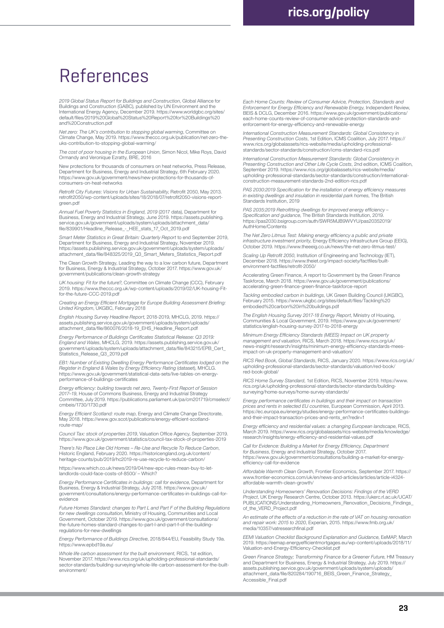# References

*2019 Global Status Report for Buildings and Construction*, Global Alliance for Buildings and Construction (GABC), published by UN Environment and the International Energy Agency, December 2019. https://www.worldgbc.org/sites/ default/files/2019%20Global%20Status%20Report%20for%20Buildings%20 and%20Construction.pdf

*Net zero: The UK's contribution to stopping global warming*, Committee on Climate Change, May 2019. https://www.theccc.org.uk/publication/net-zero-theuks-contribution-to-stopping-global-warming/

*The cost of poor housing in the European Union*, Simon Nicol, Mike Roys, David Ormandy and Veronique Ezratty, BRE, 2016

New protections for thousands of consumers on heat networks, Press Release,<br>Department for Business, Energy and Industrial Strategy, 6th February 2020.<br>https://www.gov.uk/government/news/new-protections-for-thousands-ofconsumers-on-heat-networks

*Retrofit City Futures*: *Visions for Urban Sustainability*, Retrofit 2050, May 2013. retrofit2050/wp-content/uploads/sites/18/2018/07/retrofit2050-visions-reportgreen.pdf

*Annual Fuel Poverty Statistics in England, 2019* (2017 data), Department for Business, Energy and Industrial Strategy, June 2019. https://assets.publishing. service.gov.uk/government/uploads/system/uploads/attachment\_data/ file/839901/Headline\_Release\_-\_HEE\_stats\_17\_Oct\_2019.pdf

*Smart Meter Statistics in Great Britain: Quarterly Report* to end September 2019, Department for Business, Energy and Industrial Strategy, November 2019. https://assets.publishing.service.gov.uk/government/uploads/system/uploads/ attachment\_data/file/848325/2019\_Q3\_Smart\_Meters\_Statistics\_Report.pdf

The Clean Growth Strategy, Leading the way to a low carbon future, Department for Business, Energy & Industrial Strategy, October 2017. https://www.gov.uk/ government/publications/clean-growth-strategy

*UK housing: Fit for the future?*, Committee on Climate Change (CCC), February 2019. https://www.theccc.org.uk/wp-content/uploads/2019/02/UK-housing-Fit-for-the-future-CCC-2019.pdf

*Creating an Energy Efficient Mortgage for Europe Building Assessment Briefing: United Kingdom*, UKGBC, February 2018

*English Housing Survey Headline Report*, 2018-2019, MHCLG, 2019. https:// assets.publishing.service.gov.uk/government/uploads/system/uploads/ attachment\_data/file/860076/2018-19\_EHS\_Headline\_Report.pdf

*Energy Performance of Buildings Certificates Statistical Release: Q3 2019: England and Wales*, MHCLG, 2019. https://assets.publishing.service.gov.uk/ government/uploads/system/uploads/attachment\_data/file/843215/EPB\_Cert\_ Statistics\_Release\_Q3\_2019.pdf

*EB1: Number of Existing Dwelling Energy Performance Certificates lodged on the Register in England & Wales by Energy Efficiency Rating* (dataset), MHCLG. https://www.gov.uk/government/statistical-data-sets/live-tables-on-energyperformance-of-buildings-certificates

*Energy efficiency: building towards net zero, Twenty-First Report of Session 2017–19*, House of Commons Business, Energy and Industrial Strategy Committee, July 2019. https://publications.parliament.uk/pa/cm201719/cmselect/ cmbeis/1730/1730.pdf

*Energy Efficient Scotland: route map*, Energy and Climate Change Directorate, May 2018. https://www.gov.scot/publications/energy-efficient-scotlandroute-map/

*Council Tax: stock of properties 2019*, Valuation Office Agency, September 2019. https://www.gov.uk/government/statistics/council-tax-stock-of-properties-2019

*There's No Place Like Old Homes – Re-Use and Recycle To Reduce Carbon*, Historic England, February 2020. https://historicengland.org.uk/content/ heritage-counts/pub/2019/hc2019-re-use-recycle-to-reduce-carbon/

[https://www.which.co.uk/news/2019/04/new-epc-rules-mean-buy-to-let](https://www.which.co.uk/news/2019/04/new-epc-rules-mean-buy-to-let-landlords-could-face-costs-of-8500/)[landlords-could-face-costs-of-8500/](https://www.which.co.uk/news/2019/04/new-epc-rules-mean-buy-to-let-landlords-could-face-costs-of-8500/) – Which?

*Energy Performance Certificates in buildings: call for evidence*, Department for Business, Energy & Industrial Strategy, July 2018. https://www.gov.uk/ government/consultations/energy-performance-certificates-in-buildings-call-forevidence

*Future Homes Standard: changes to Part L and Part F of the Building Regulations for new dwellings consultation*, Ministry of Housing, Communities and Local Government, October 2019. https://www.gov.uk/government/consultations/ the-future-homes-standard-changes-to-part-l-and-part-f-of-the-buildingregulations-for-new-dwellings

*Energy Performance of Buildings Directive*, 2018/844/EU, Feasibility Study 19a. https://www.epbd19a.eu/

*Whole life carbon assessment for the built environment*, RICS, 1st edition, November 2017. https://www.rics.org/uk/upholding-professional-standards/ sector-standards/building-surveying/whole-life-carbon-assessment-for-the-builtenvironment/

*Each Home Counts: Review of Consumer Advice, Protection, Standards and Enforcement for Energy Efficiency and Renewable Energy*, Independent Review, BEIS & DCLG, December 2016. https://www.gov.uk/government/publications/ each-home-counts-review-of-consumer-advice-protection-standards-andenforcement-for-energy-efficiency-and-renewable-energy

*International Construction Measurement Standards: Global Consistency in Presenting Construction Costs*, 1st Edition, ICMS Coalition, July 2017. https:// www.rics.org/globalassets/rics-website/media/upholding-profe standards/sector-standards/construction/icms-standard-rics.pdf

*International Construction Measurement Standards: Global Consistency in Presenting Construction and Other Life Cycle Costs*, 2nd edition, ICMS Coalition, September 2019. https://www.rics.org/globalassets/rics-website/media/ upholding-professional-standards/sector-standards/construction/internationalconstruction-measurement-standards-2nd-edition-rics.pdf

*PAS 2030:2019 Specification for the installation of energy efficiency measures in existing dwellings and insulation in residential park homes*, The British Standards Institution, 2019

*PAS 2035:2019 Retrofitting dwellings for improved energy efficiency – Specification and guidance*, The British Standards Institution, 2019. https://pas2030.bsigroup.com/auth/SWR5MJB9WVYU/pas20352019/ AuthHome/Contents

*The Net Zero Litmus Test: Making energy efficiency a public and private infrastructure investment priority*, Energy Efficiency Infrastructure Group (EEIG), October 2019. https://www.theeeig.co.uk/news/the-net-zero-litmus-test

*Scaling Up Retrofit 2050*, Institution of Engineering and Technology (IET), December 2018. https://www.theiet.org/impact-society/factfiles/builtenvironment-factfiles/retrofit-2050/

Accelerating Green Finance, A report to Government by the Green Finance Taskforce, March 2018. https://www.gov.uk/government/publications/ accelerating-green-finance-green-finance-taskforce-report

*Tackling embodied carbon in buildings*, UK Green Building Council (UKGBC), February 2015. https://www.ukgbc.org/sites/default/files/Tackling%20 embodied%20carbon%20in%20buildings.pdf

*The English Housing Survey 2017-18 Energy Report*, Ministry of Housing, Communities & Local Government, 2019. https://www.gov.uk/government/ statistics/english-housing-survey-2017-to-2018-energy

*Minimum Energy Efficiency Standards (MEES) Impact on UK property management and valuation*, RICS, March 2018. https://www.rics.org/uk/ news-insight/research/insights/minimum-energy-efficiency-standards-meesimpact-on-uk-property-management-and-valuation/

*RICS Red Book, Global Standards*, RICS, January 2020. https://www.rics.org/uk/ upholding-professional-standards/sector-standards/valuation/red-book/ red-book-global/

*RICS Home Survey Standard*, 1st Edition, RICS, November 2019. https://www. rics.org/uk/upholding-professional-standards/sector-standards/building-surveying/home-surveys/home-survey-standards/

*Energy performance certificates in buildings and their impact on transaction prices and rents in selected EU countries*, European Commission, April 2013. https://ec.europa.eu/energy/studies/energy-performance-certificates-buildingsand-their-impact-transaction-prices-and-rents\_en?redir=1

*Energy efficiency and residential values: a changing European landscape*, RICS, March 2019. https://www.rics.org/globalassets/rics-website/media/knowledge/ research/insights/energy-efficiency-and-residential-values.pdf

*Call for Evidence: Building a Market for Energy Efficiency, Department for Business*, Energy and Industrial Strategy, October 2017. https://www.gov.uk/government/consultations/building-a-market-for-energy-efficiency-call-for-evidence

*Affordable Warmth Clean Growth*, Frontier Economics, September 2017. https:// www.frontier-economics.com/uk/en/news-and-articles/articles/article-i4324affordable-warmth-clean-growth/

Understanding Homeowners' Renovation Decisions: Findings of the VERD<br>Project, UK Energy Research Centre, October 2013. https://ukerc.rl.ac.uk/UCAT/<br>PUBLICATIONS/Understanding\_Homeowners\_Renovation\_Decisions\_Findings\_ of\_the\_VERD\_Project.pdf

*An estimate of the effects of a reduction in the rate of VAT on housing renovation and repair work: 2015 to 2020*, Experian, 2015. https://www.fmb.org.uk/ media/10357/vatresearchfinal.pdf

*EEMI Valuation Checklist Background Explanation and Guidance*, EeMAP, March<br>2019. https://eemap.energyefficientmortgages.eu/wp-content/uploads/2018/11/<br>Valuation-and-Energy-Efficiency-Checklist.pdf

*Green Finance Strategy; Transforming Finance for a Greener Future*, HM Treasury and Department for Business, Energy & Industrial Strategy, July 2019. https:// assets.publishing.service.gov.uk/government/uploads/system/uploads/ attachment\_data/file/820284/190716\_BEIS\_Green\_Finance\_Strategy\_ Accessible\_Final.pdf